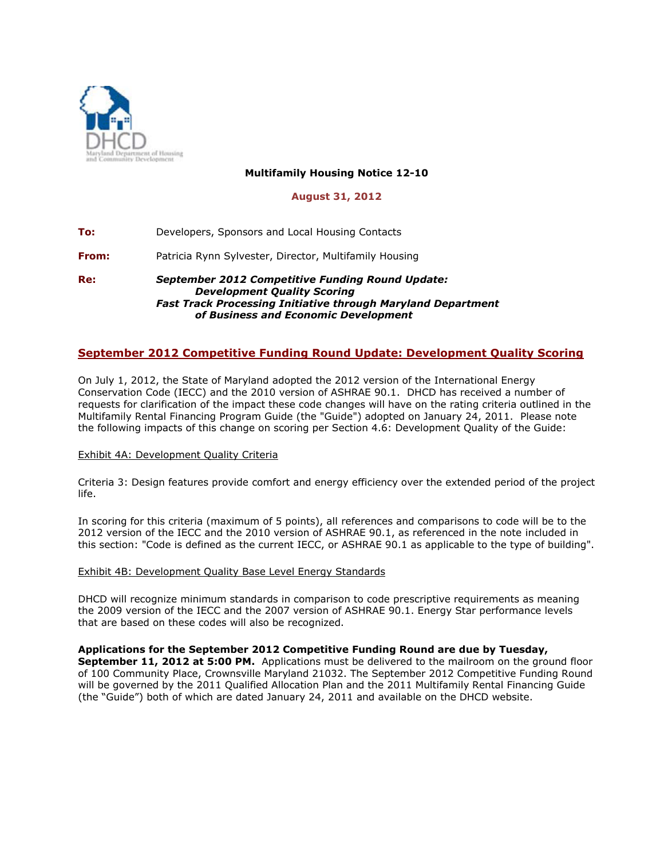

## **Multifamily Housing Notice 12-10**

### **August 31, 2012**

**To:** Developers, Sponsors and Local Housing Contacts **From:** Patricia Rynn Sylvester, Director, Multifamily Housing **Re:** *September 2012 Competitive Funding Round Update: Development Quality Scoring*

# *Fast Track Processing Initiative through Maryland Department of Business and Economic Development*

# **September 2012 Competitive Funding Round Update: Development Quality Scoring**

On July 1, 2012, the State of Maryland adopted the 2012 version of the International Energy Conservation Code (IECC) and the 2010 version of ASHRAE 90.1. DHCD has received a number of requests for clarification of the impact these code changes will have on the rating criteria outlined in the Multifamily Rental Financing Program Guide (the "Guide") adopted on January 24, 2011. Please note the following impacts of this change on scoring per Section 4.6: Development Quality of the Guide:

#### Exhibit 4A: Development Quality Criteria

Criteria 3: Design features provide comfort and energy efficiency over the extended period of the project life.

In scoring for this criteria (maximum of 5 points), all references and comparisons to code will be to the 2012 version of the IECC and the 2010 version of ASHRAE 90.1, as referenced in the note included in this section: "Code is defined as the current IECC, or ASHRAE 90.1 as applicable to the type of building".

#### Exhibit 4B: Development Quality Base Level Energy Standards

DHCD will recognize minimum standards in comparison to code prescriptive requirements as meaning the 2009 version of the IECC and the 2007 version of ASHRAE 90.1. Energy Star performance levels that are based on these codes will also be recognized.

#### **Applications for the September 2012 Competitive Funding Round are due by Tuesday,**

**September 11, 2012 at 5:00 PM.** Applications must be delivered to the mailroom on the ground floor of 100 Community Place, Crownsville Maryland 21032. The September 2012 Competitive Funding Round will be governed by the 2011 Qualified Allocation Plan and the 2011 Multifamily Rental Financing Guide (the "Guide") both of which are dated January 24, 2011 and available on the DHCD website.